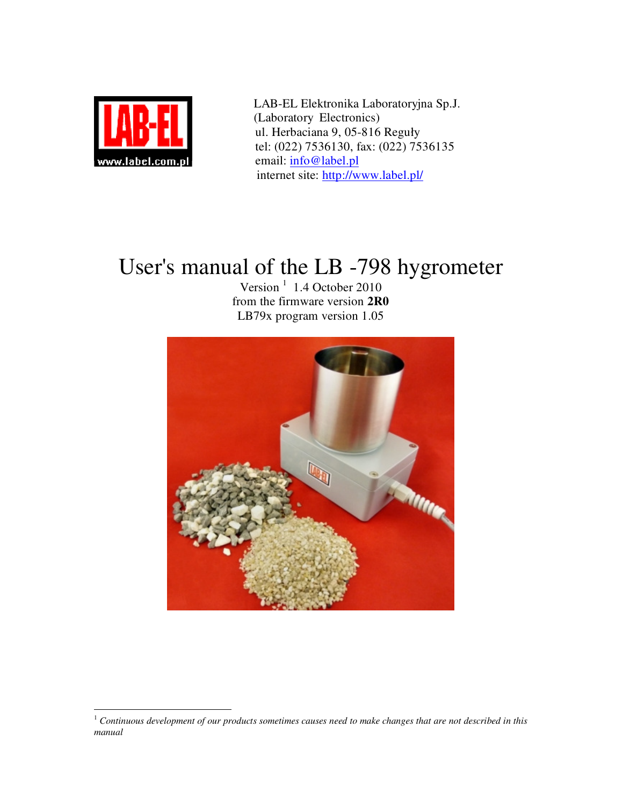

 LAB-EL Elektronika Laboratoryjna Sp.J. (Laboratory Electronics) ul. Herbaciana 9, 05-816 Reguły tel: (022) 7536130, fax: (022) 7536135 email: info@label.pl internet site: http://www.label.pl/

# User's manual of the LB -798 hygrometer

Version<sup>1</sup> 1.4 October 2010 from the firmware version **2R0**  LB79x program version 1.05



 $\overline{a}$ <sup>1</sup> *Continuous development of our products sometimes causes need to make changes that are not described in this manual*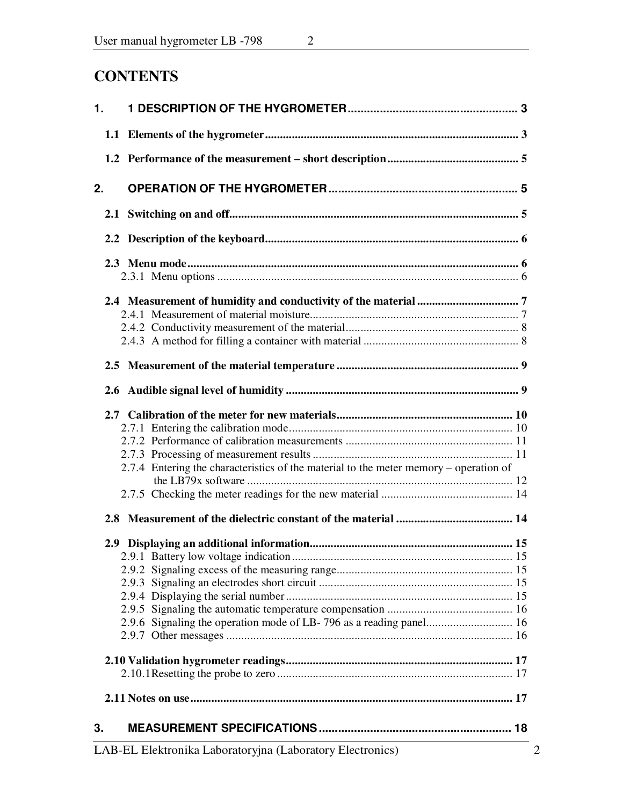## **CONTENTS**

| 1. |                                                                                       |  |
|----|---------------------------------------------------------------------------------------|--|
|    |                                                                                       |  |
|    |                                                                                       |  |
| 2. |                                                                                       |  |
|    |                                                                                       |  |
|    |                                                                                       |  |
|    |                                                                                       |  |
|    |                                                                                       |  |
|    |                                                                                       |  |
|    |                                                                                       |  |
|    | 2.7.4 Entering the characteristics of the material to the meter memory – operation of |  |
|    |                                                                                       |  |
|    | 2.9.6 Signaling the operation mode of LB-796 as a reading panel 16                    |  |
|    |                                                                                       |  |
|    |                                                                                       |  |
| 3. |                                                                                       |  |
|    |                                                                                       |  |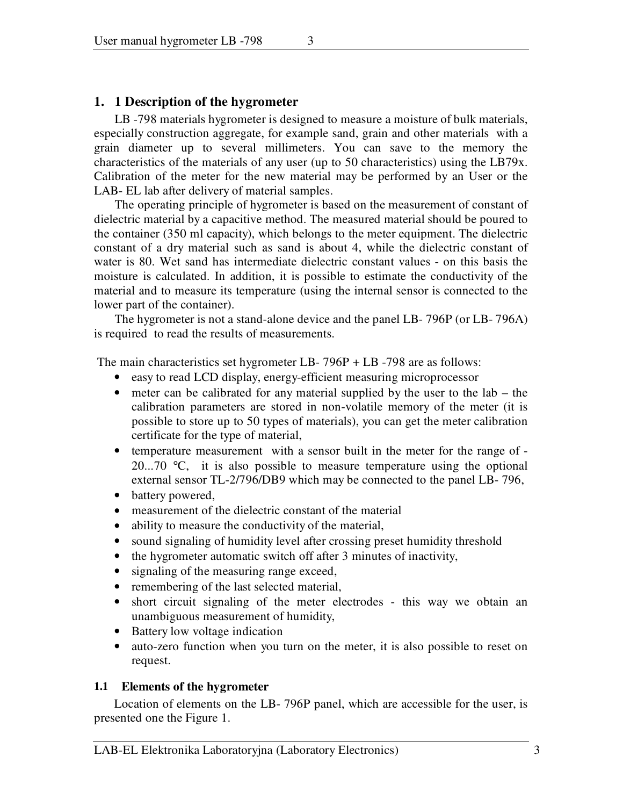### **1. 1 Description of the hygrometer**

LB -798 materials hygrometer is designed to measure a moisture of bulk materials, especially construction aggregate, for example sand, grain and other materials with a grain diameter up to several millimeters. You can save to the memory the characteristics of the materials of any user (up to 50 characteristics) using the LB79x. Calibration of the meter for the new material may be performed by an User or the LAB- EL lab after delivery of material samples.

The operating principle of hygrometer is based on the measurement of constant of dielectric material by a capacitive method. The measured material should be poured to the container (350 ml capacity), which belongs to the meter equipment. The dielectric constant of a dry material such as sand is about 4, while the dielectric constant of water is 80. Wet sand has intermediate dielectric constant values - on this basis the moisture is calculated. In addition, it is possible to estimate the conductivity of the material and to measure its temperature (using the internal sensor is connected to the lower part of the container).

The hygrometer is not a stand-alone device and the panel LB- 796P (or LB- 796A) is required to read the results of measurements.

The main characteristics set hygrometer LB- 796P + LB-798 are as follows:

- easy to read LCD display, energy-efficient measuring microprocessor
- meter can be calibrated for any material supplied by the user to the lab the calibration parameters are stored in non-volatile memory of the meter (it is possible to store up to 50 types of materials), you can get the meter calibration certificate for the type of material,
- temperature measurement with a sensor built in the meter for the range of 20...70 °C, it is also possible to measure temperature using the optional external sensor TL-2/796/DB9 which may be connected to the panel LB- 796,
- battery powered,
- measurement of the dielectric constant of the material
- ability to measure the conductivity of the material,
- sound signaling of humidity level after crossing preset humidity threshold
- the hygrometer automatic switch off after 3 minutes of inactivity,
- signaling of the measuring range exceed,
- remembering of the last selected material,
- short circuit signaling of the meter electrodes this way we obtain an unambiguous measurement of humidity,
- Battery low voltage indication
- auto-zero function when you turn on the meter, it is also possible to reset on request.

### **1.1 Elements of the hygrometer**

Location of elements on the LB- 796P panel, which are accessible for the user, is presented one the Figure 1.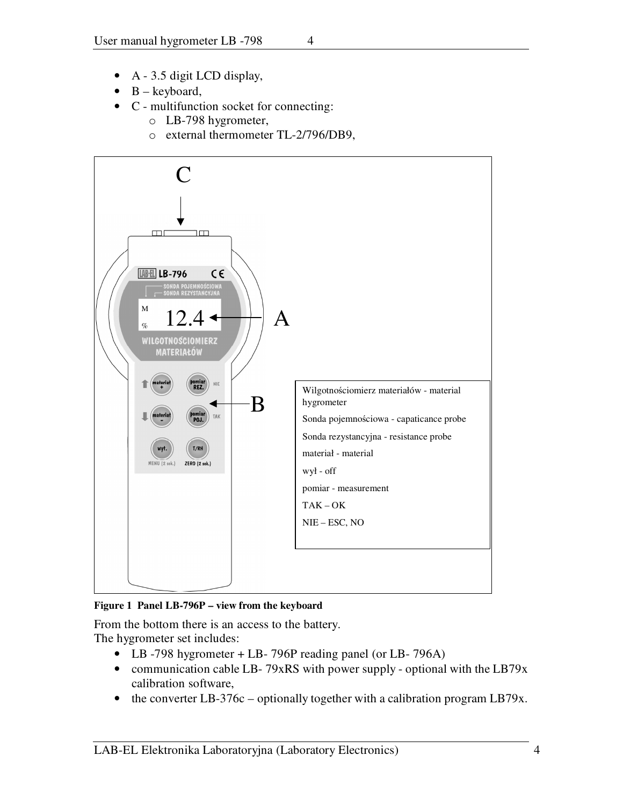- A 3.5 digit LCD display,
- $\bullet$  B keyboard,
- C multifunction socket for connecting:
	- o LB-798 hygrometer,
	- o external thermometer TL-2/796/DB9,



**Figure 1 Panel LB-796P – view from the keyboard** 

From the bottom there is an access to the battery. The hygrometer set includes:

- LB -798 hygrometer + LB- 796P reading panel (or LB- 796A)
- communication cable LB-79xRS with power supply optional with the LB79x calibration software,
- the converter LB-376c optionally together with a calibration program LB79x.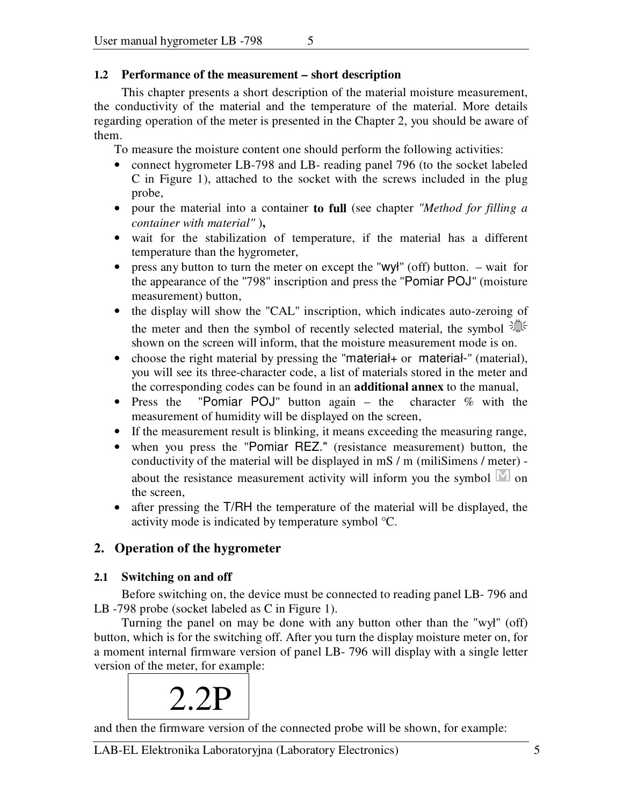### **1.2 Performance of the measurement – short description**

This chapter presents a short description of the material moisture measurement, the conductivity of the material and the temperature of the material. More details regarding operation of the meter is presented in the Chapter 2, you should be aware of them.

To measure the moisture content one should perform the following activities:

- connect hygrometer LB-798 and LB- reading panel 796 (to the socket labeled C in Figure 1), attached to the socket with the screws included in the plug probe,
- pour the material into a container **to full** (see chapter *"Method for filling a container with material"* )**,**
- wait for the stabilization of temperature, if the material has a different temperature than the hygrometer,
- press any button to turn the meter on except the "wyl" (off) button. wait for the appearance of the "798" inscription and press the "Pomiar POJ" (moisture measurement) button,
- the display will show the "CAL" inscription, which indicates auto-zeroing of the meter and then the symbol of recently selected material, the symbol  $\partial \hat{f}$ shown on the screen will inform, that the moisture measurement mode is on.
- choose the right material by pressing the "material+ or material-" (material), you will see its three-character code, a list of materials stored in the meter and the corresponding codes can be found in an **additional annex** to the manual,
- Press the "Pomiar POJ" button again the character % with the measurement of humidity will be displayed on the screen,
- If the measurement result is blinking, it means exceeding the measuring range,
- when you press the "Pomiar REZ." (resistance measurement) button, the conductivity of the material will be displayed in mS / m (miliSimens / meter) about the resistance measurement activity will inform you the symbol  $\overline{M}$  on the screen,
- after pressing the T/RH the temperature of the material will be displayed, the activity mode is indicated by temperature symbol °C.

### **2. Operation of the hygrometer**

### **2.1 Switching on and off**

Before switching on, the device must be connected to reading panel LB- 796 and LB -798 probe (socket labeled as C in Figure 1).

Turning the panel on may be done with any button other than the "wył" (off) button, which is for the switching off. After you turn the display moisture meter on, for a moment internal firmware version of panel LB- 796 will display with a single letter version of the meter, for example:



and then the firmware version of the connected probe will be shown, for example: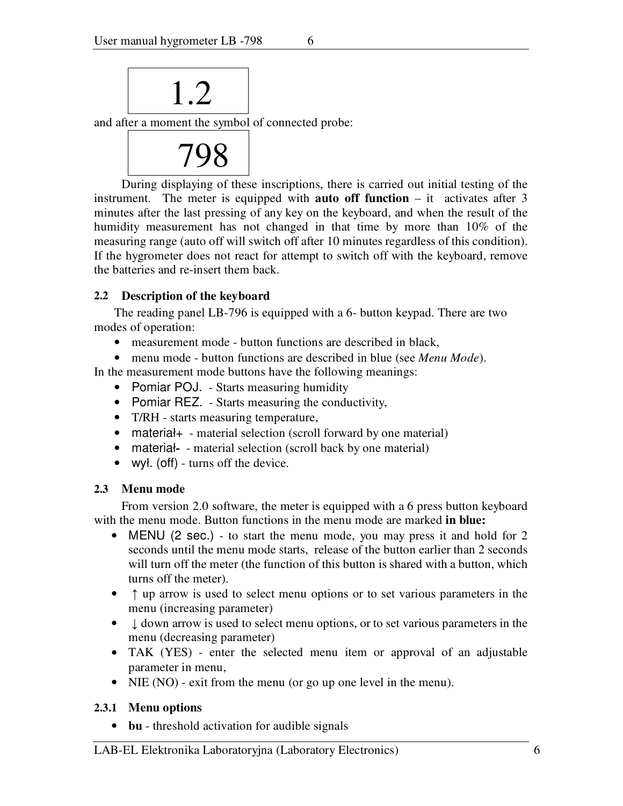1.2

and after a moment the symbol of connected probe:



During displaying of these inscriptions, there is carried out initial testing of the instrument. The meter is equipped with **auto off function** – it activates after 3 minutes after the last pressing of any key on the keyboard, and when the result of the humidity measurement has not changed in that time by more than 10% of the measuring range (auto off will switch off after 10 minutes regardless of this condition). If the hygrometer does not react for attempt to switch off with the keyboard, remove the batteries and re-insert them back.

### **2.2 Description of the keyboard**

The reading panel LB-796 is equipped with a 6- button keypad. There are two modes of operation:

- measurement mode button functions are described in black,
- menu mode button functions are described in blue (see *Menu Mode*).

In the measurement mode buttons have the following meanings:

- Pomiar POJ. Starts measuring humidity
- Pomiar REZ. Starts measuring the conductivity,
- T/RH starts measuring temperature,
- material+ material selection (scroll forward by one material)
- material- material selection (scroll back by one material)
- wył. (off) turns off the device.

### **2.3 Menu mode**

From version 2.0 software, the meter is equipped with a 6 press button keyboard with the menu mode. Button functions in the menu mode are marked **in blue:**

- MENU (2 sec.) to start the menu mode, you may press it and hold for 2 seconds until the menu mode starts, release of the button earlier than 2 seconds will turn off the meter (the function of this button is shared with a button, which turns off the meter).
- $\uparrow$  up arrow is used to select menu options or to set various parameters in the menu (increasing parameter)
- $\downarrow$  down arrow is used to select menu options, or to set various parameters in the menu (decreasing parameter)
- TAK (YES) enter the selected menu item or approval of an adjustable parameter in menu,
- NIE (NO) exit from the menu (or go up one level in the menu).

### **2.3.1 Menu options**

• **bu** - threshold activation for audible signals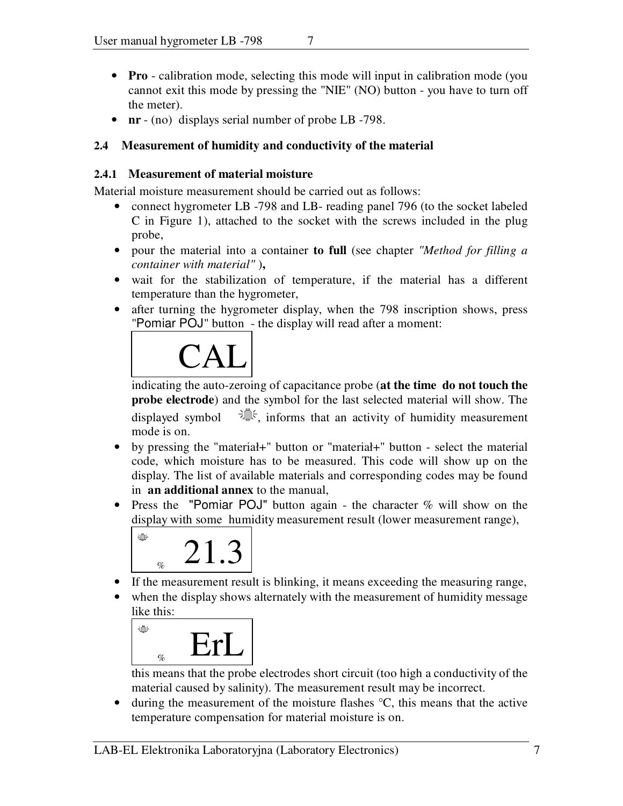- **Pro**  calibration mode, selecting this mode will input in calibration mode (you cannot exit this mode by pressing the "NIE" (NO) button - you have to turn off the meter).
- **nr** (no) displays serial number of probe LB -798.

### **2.4 Measurement of humidity and conductivity of the material**

### **2.4.1 Measurement of material moisture**

Material moisture measurement should be carried out as follows:

- connect hygrometer LB -798 and LB- reading panel 796 (to the socket labeled C in Figure 1), attached to the socket with the screws included in the plug probe,
- pour the material into a container **to full** (see chapter *"Method for filling a container with material"* )**,**
- wait for the stabilization of temperature, if the material has a different temperature than the hygrometer,
- after turning the hygrometer display, when the 798 inscription shows, press "Pomiar POJ" button - the display will read after a moment:



indicating the auto-zeroing of capacitance probe (**at the time do not touch the probe electrode**) and the symbol for the last selected material will show. The displayed symbol  $\frac{1}{2}$ , informs that an activity of humidity measurement mode is on.

- by pressing the "materiał+" button or "materiał+" button select the material code, which moisture has to be measured. This code will show up on the display. The list of available materials and corresponding codes may be found in **an additional annex** to the manual,
- Press the "Pomiar POJ" button again the character % will show on the display with some humidity measurement result (lower measurement range),

$$
\begin{array}{c|c}\n\ast & 21.3\n\end{array}
$$

- If the measurement result is blinking, it means exceeding the measuring range,
- when the display shows alternately with the measurement of humidity message like this:

$$
\boxed{\begin{array}{c}\n\text{if } \\
\text{if } \\
\text{if } \\
\text{if } \\
\text{if } \\
\text{if } \\
\text{if } \\
\text{if } \\
\text{if } \\
\text{if } \\
\text{if } \\
\text{if } \\
\text{if } \\
\text{if } \\
\text{if } \\
\text{if } \\
\text{if } \\
\text{if } \\
\text{if } \\
\text{if } \\
\text{if } \\
\text{if } \\
\text{if } \\
\text{if } \\
\text{if } \\
\text{if } \\
\text{if } \\
\text{if } \\
\text{if } \\
\text{if } \\
\text{if } \\
\text{if } \\
\text{if } \\
\text{if } \\
\text{if } \\
\text{if } \\
\text{if } \\
\text{if } \\
\text{if } \\
\text{if } \\
\text{if } \\
\text{if } \\
\text{if } \\
\text{if } \\
\text{if } \\
\text{if } \\
\text{if } \\
\text{if } \\
\text{if } \\
\text{if } \\
\text{if } \\
\text{if } \\
\text{if } \\
\text{if } \\
\text{if } \\
\text{if } \\
\text{if } \\
\text{if } \\
\text{if } \\
\text{if } \\
\text{if } \\
\text{if } \\
\text{if } \\
\text{if } \\
\text{if } \\
\text{if } \\
\text{if } \\
\text{if } \\
\text{if } \\
\text{if } \\
\text{if } \\
\text{if } \\
\text{if } \\
\text{if } \\
\text{if } \\
\text{if } \\
\text{if } \\
\text{if } \\
\text{if } \\
\text{if } \\
\text{if } \\
\text{if } \\
\text{if } \\
\text{if } \\
\text{if } \\
\text{if } \\
\text{if } \\
\text{if } \\
\text{if } \\
\text{if } \\
\text{if } \\
\text{if } \\
\text{if } \\
\text{if } \\
\text{if } \\
\text{if } \\
\text{if } \\
\text{if } \\
\text{if } \\
\text{if } \\
\text{if } \\
\text{if } \\
\text{if } \\
\text{if } \\
\text{if } \\
\text{if } \\
\text{if } \\
\text{if } \\
\text{if } \\
\text{if } \\
\text{if } \\
\text{if } \\
\text{if } \\
\text{if } \\
\text{if } \\
\text{if } \\
\text{if } \\
\text{if } \\
\text{if } \\
\text{if } \\
\text{if } \\
\text{if } \\
\text{if } \\
\text{if } \\
\text{if } \\
$$

this means that the probe electrodes short circuit (too high a conductivity of the material caused by salinity). The measurement result may be incorrect.

• during the measurement of the moisture flashes  $\degree C$ , this means that the active temperature compensation for material moisture is on.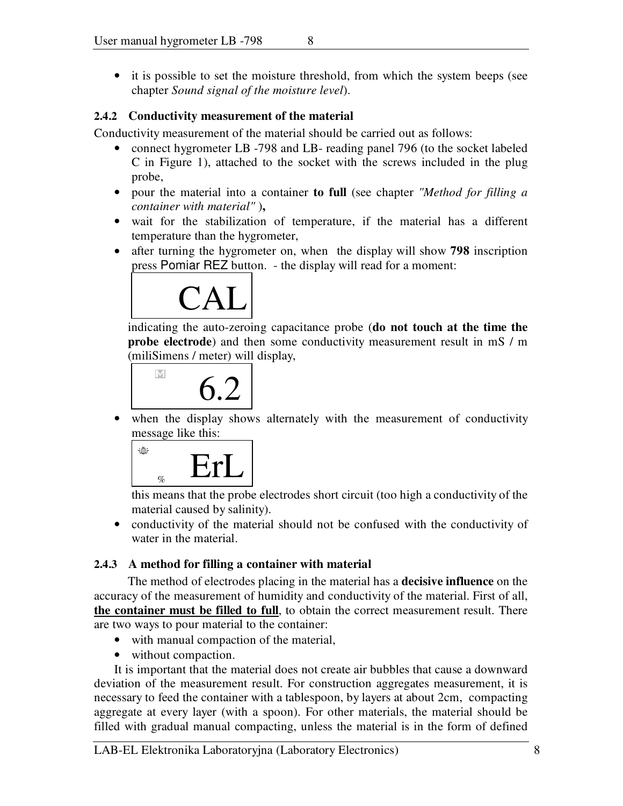• it is possible to set the moisture threshold, from which the system beeps (see chapter *Sound signal of the moisture level*).

### **2.4.2 Conductivity measurement of the material**

Conductivity measurement of the material should be carried out as follows:

- connect hygrometer LB -798 and LB- reading panel 796 (to the socket labeled C in Figure 1), attached to the socket with the screws included in the plug probe,
- pour the material into a container **to full** (see chapter *"Method for filling a container with material"* )**,**
- wait for the stabilization of temperature, if the material has a different temperature than the hygrometer,
- after turning the hygrometer on, when the display will show **798** inscription press Pomiar REZ button. - the display will read for a moment:



indicating the auto-zeroing capacitance probe (**do not touch at the time the probe electrode**) and then some conductivity measurement result in mS / m (miliSimens / meter) will display,

$$
\bullet .2
$$

• when the display shows alternately with the measurement of conductivity message like this:



this means that the probe electrodes short circuit (too high a conductivity of the material caused by salinity).

• conductivity of the material should not be confused with the conductivity of water in the material.

### **2.4.3 A method for filling a container with material**

The method of electrodes placing in the material has a **decisive influence** on the accuracy of the measurement of humidity and conductivity of the material. First of all, **the container must be filled to full**, to obtain the correct measurement result. There are two ways to pour material to the container:

- with manual compaction of the material,
- without compaction.

It is important that the material does not create air bubbles that cause a downward deviation of the measurement result. For construction aggregates measurement, it is necessary to feed the container with a tablespoon, by layers at about 2cm, compacting aggregate at every layer (with a spoon). For other materials, the material should be filled with gradual manual compacting, unless the material is in the form of defined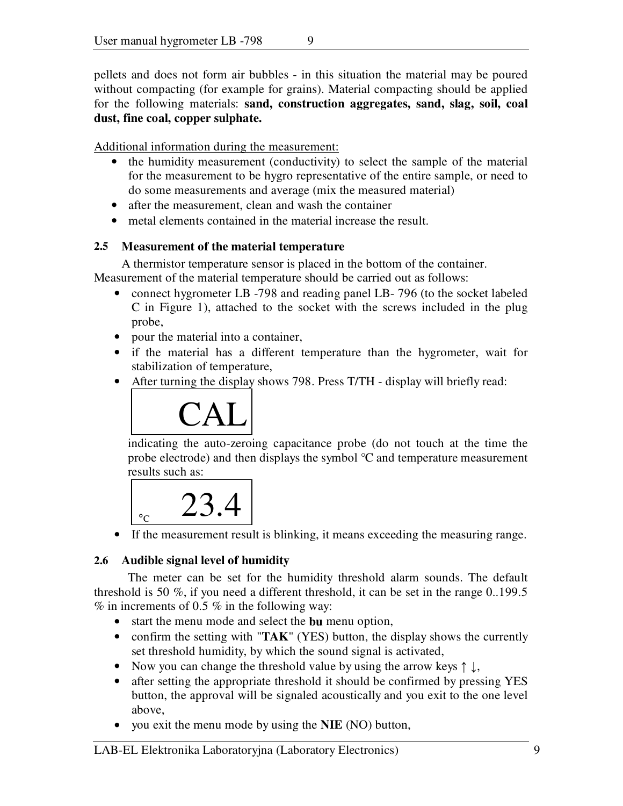pellets and does not form air bubbles - in this situation the material may be poured without compacting (for example for grains). Material compacting should be applied for the following materials: **sand, construction aggregates, sand, slag, soil, coal dust, fine coal, copper sulphate.**

Additional information during the measurement:

- the humidity measurement (conductivity) to select the sample of the material for the measurement to be hygro representative of the entire sample, or need to do some measurements and average (mix the measured material)
- after the measurement, clean and wash the container
- metal elements contained in the material increase the result.

### **2.5 Measurement of the material temperature**

A thermistor temperature sensor is placed in the bottom of the container. Measurement of the material temperature should be carried out as follows:

- connect hygrometer LB -798 and reading panel LB- 796 (to the socket labeled C in Figure 1), attached to the socket with the screws included in the plug probe,
- pour the material into a container,
- if the material has a different temperature than the hygrometer, wait for stabilization of temperature,
- After turning the display shows 798. Press T/TH display will briefly read:



indicating the auto-zeroing capacitance probe (do not touch at the time the probe electrode) and then displays the symbol °C and temperature measurement results such as:

$$
\begin{array}{|c|}\n\hline\n23.4\n\end{array}
$$

• If the measurement result is blinking, it means exceeding the measuring range.

### **2.6 Audible signal level of humidity**

The meter can be set for the humidity threshold alarm sounds. The default threshold is 50 %, if you need a different threshold, it can be set in the range 0..199.5  $%$  in increments of 0.5  $%$  in the following way:

- start the menu mode and select the **bu** menu option,
- confirm the setting with "**TAK**" (YES) button, the display shows the currently set threshold humidity, by which the sound signal is activated,
- Now you can change the threshold value by using the arrow keys  $\uparrow \downarrow$ ,
- after setting the appropriate threshold it should be confirmed by pressing YES button, the approval will be signaled acoustically and you exit to the one level above,
- you exit the menu mode by using the **NIE** (NO) button,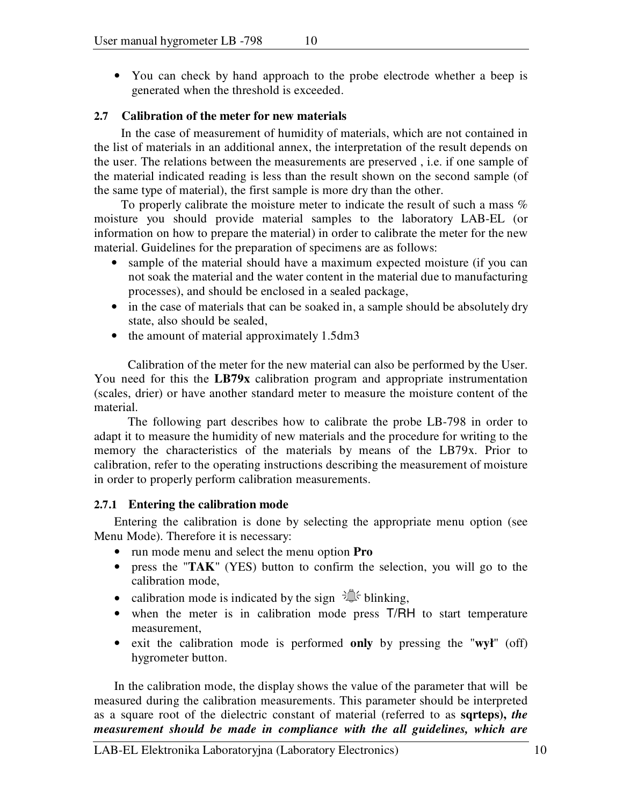• You can check by hand approach to the probe electrode whether a beep is generated when the threshold is exceeded.

#### **2.7 Calibration of the meter for new materials**

In the case of measurement of humidity of materials, which are not contained in the list of materials in an additional annex, the interpretation of the result depends on the user. The relations between the measurements are preserved , i.e. if one sample of the material indicated reading is less than the result shown on the second sample (of the same type of material), the first sample is more dry than the other.

To properly calibrate the moisture meter to indicate the result of such a mass % moisture you should provide material samples to the laboratory LAB-EL (or information on how to prepare the material) in order to calibrate the meter for the new material. Guidelines for the preparation of specimens are as follows:

- sample of the material should have a maximum expected moisture (if you can not soak the material and the water content in the material due to manufacturing processes), and should be enclosed in a sealed package,
- in the case of materials that can be soaked in, a sample should be absolutely dry state, also should be sealed,
- the amount of material approximately 1.5dm3

Calibration of the meter for the new material can also be performed by the User. You need for this the **LB79x** calibration program and appropriate instrumentation (scales, drier) or have another standard meter to measure the moisture content of the material.

The following part describes how to calibrate the probe LB-798 in order to adapt it to measure the humidity of new materials and the procedure for writing to the memory the characteristics of the materials by means of the LB79x. Prior to calibration, refer to the operating instructions describing the measurement of moisture in order to properly perform calibration measurements.

#### **2.7.1 Entering the calibration mode**

Entering the calibration is done by selecting the appropriate menu option (see Menu Mode). Therefore it is necessary:

- run mode menu and select the menu option **Pro**
- press the "**TAK**" (YES) button to confirm the selection, you will go to the calibration mode,
- calibration mode is indicated by the sign  $\frac{1}{2}$  blinking,
- when the meter is in calibration mode press T/RH to start temperature measurement,
- exit the calibration mode is performed **only** by pressing the "**wył**" (off) hygrometer button.

In the calibration mode, the display shows the value of the parameter that will be measured during the calibration measurements. This parameter should be interpreted as a square root of the dielectric constant of material (referred to as **sqrteps),** *the measurement should be made in compliance with the all guidelines, which are*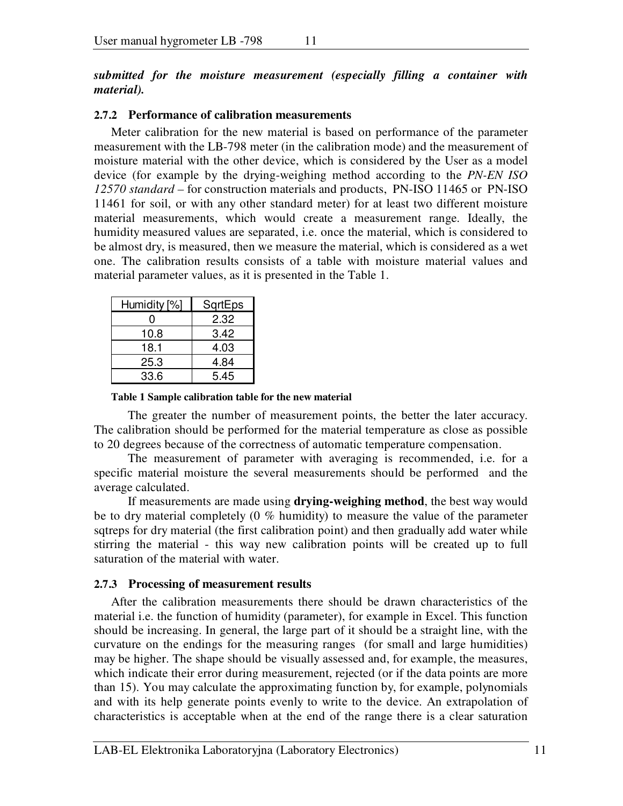#### *submitted for the moisture measurement (especially filling a container with material).*

#### **2.7.2 Performance of calibration measurements**

Meter calibration for the new material is based on performance of the parameter measurement with the LB-798 meter (in the calibration mode) and the measurement of moisture material with the other device, which is considered by the User as a model device (for example by the drying-weighing method according to the *PN-EN ISO 12570 standard –* for construction materials and products, PN-ISO 11465 or PN-ISO 11461 for soil, or with any other standard meter) for at least two different moisture material measurements, which would create a measurement range. Ideally, the humidity measured values are separated, i.e. once the material, which is considered to be almost dry, is measured, then we measure the material, which is considered as a wet one. The calibration results consists of a table with moisture material values and material parameter values, as it is presented in the Table 1.

| Humidity [%] | SqrtEps |
|--------------|---------|
|              | 2.32    |
| 10.8         | 3.42    |
| 18.1         | 4.03    |
| 25.3         | 4.84    |
| 33.6         | 5.45    |

#### **Table 1 Sample calibration table for the new material**

The greater the number of measurement points, the better the later accuracy. The calibration should be performed for the material temperature as close as possible to 20 degrees because of the correctness of automatic temperature compensation.

The measurement of parameter with averaging is recommended, i.e. for a specific material moisture the several measurements should be performed and the average calculated.

If measurements are made using **drying-weighing method**, the best way would be to dry material completely (0 % humidity) to measure the value of the parameter sqtreps for dry material (the first calibration point) and then gradually add water while stirring the material - this way new calibration points will be created up to full saturation of the material with water.

#### **2.7.3 Processing of measurement results**

After the calibration measurements there should be drawn characteristics of the material i.e. the function of humidity (parameter), for example in Excel. This function should be increasing. In general, the large part of it should be a straight line, with the curvature on the endings for the measuring ranges (for small and large humidities) may be higher. The shape should be visually assessed and, for example, the measures, which indicate their error during measurement, rejected (or if the data points are more than 15). You may calculate the approximating function by, for example, polynomials and with its help generate points evenly to write to the device. An extrapolation of characteristics is acceptable when at the end of the range there is a clear saturation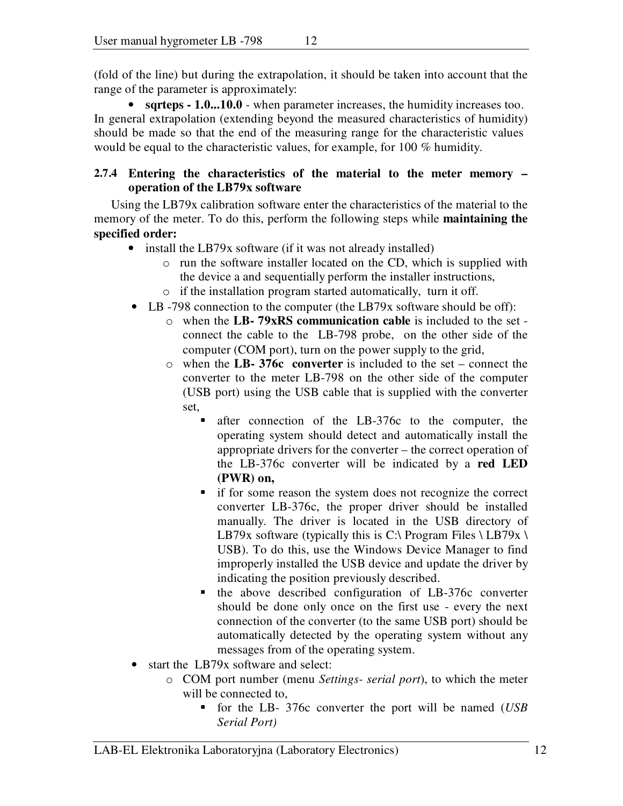(fold of the line) but during the extrapolation, it should be taken into account that the range of the parameter is approximately:

• **sqrteps - 1.0...10.0** - when parameter increases, the humidity increases too. In general extrapolation (extending beyond the measured characteristics of humidity) should be made so that the end of the measuring range for the characteristic values would be equal to the characteristic values, for example, for 100 % humidity.

### **2.7.4 Entering the characteristics of the material to the meter memory – operation of the LB79x software**

Using the LB79x calibration software enter the characteristics of the material to the memory of the meter. To do this, perform the following steps while **maintaining the specified order:**

- install the LB79x software (if it was not already installed)
	- o run the software installer located on the CD, which is supplied with the device a and sequentially perform the installer instructions,
	- o if the installation program started automatically, turn it off.
- LB -798 connection to the computer (the LB79x software should be off):
	- o when the **LB- 79xRS communication cable** is included to the set connect the cable to the LB-798 probe, on the other side of the computer (COM port), turn on the power supply to the grid,
	- o when the **LB- 376c converter** is included to the set connect the converter to the meter LB-798 on the other side of the computer (USB port) using the USB cable that is supplied with the converter set,
		- after connection of the LB-376c to the computer, the operating system should detect and automatically install the appropriate drivers for the converter – the correct operation of the LB-376c converter will be indicated by a **red LED (PWR) on,**
		- if for some reason the system does not recognize the correct converter LB-376c, the proper driver should be installed manually. The driver is located in the USB directory of LB79x software (typically this is C:\ Program Files \ LB79x \ USB). To do this, use the Windows Device Manager to find improperly installed the USB device and update the driver by indicating the position previously described.
		- the above described configuration of LB-376c converter should be done only once on the first use - every the next connection of the converter (to the same USB port) should be automatically detected by the operating system without any messages from of the operating system.
- start the LB79x software and select:
	- o COM port number (menu *Settings- serial port*), to which the meter will be connected to,
		- for the LB- 376c converter the port will be named (*USB Serial Port)*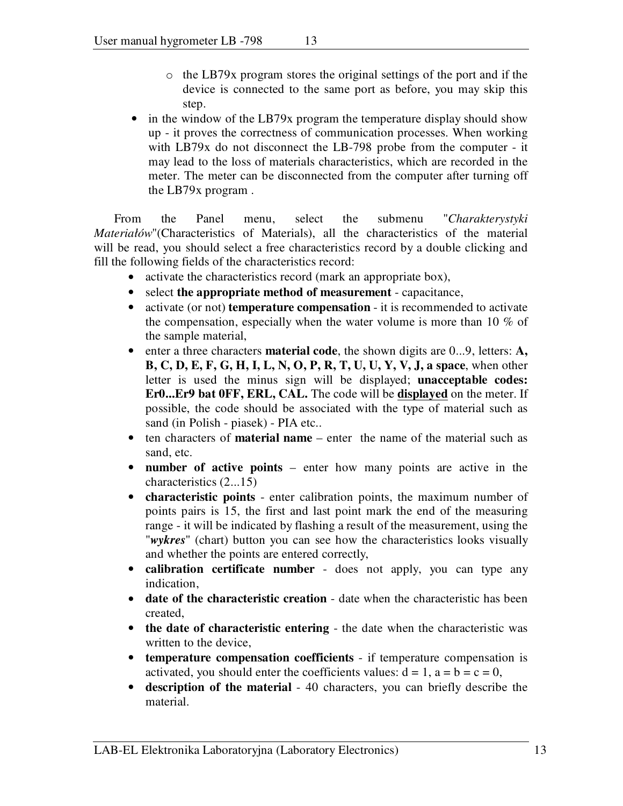- o the LB79x program stores the original settings of the port and if the device is connected to the same port as before, you may skip this step.
- in the window of the LB79x program the temperature display should show up - it proves the correctness of communication processes. When working with LB79x do not disconnect the LB-798 probe from the computer - it may lead to the loss of materials characteristics, which are recorded in the meter. The meter can be disconnected from the computer after turning off the LB79x program .

 From the Panel menu, select the submenu "*Charakterystyki Materiałów*"(Characteristics of Materials), all the characteristics of the material will be read, you should select a free characteristics record by a double clicking and fill the following fields of the characteristics record:

- activate the characteristics record (mark an appropriate box),
- select **the appropriate method of measurement** capacitance,
- activate (or not) **temperature compensation** it is recommended to activate the compensation, especially when the water volume is more than 10 % of the sample material,
- enter a three characters **material code**, the shown digits are 0...9, letters: **A, B, C, D, E, F, G, H, I, L, N, O, P, R, T, U, U, Y, V, J, a space**, when other letter is used the minus sign will be displayed; **unacceptable codes: Er0...Er9 bat 0FF, ERL, CAL.** The code will be **displayed** on the meter. If possible, the code should be associated with the type of material such as sand (in Polish - piasek) - PIA etc..
- ten characters of **material name** enter the name of the material such as sand, etc.
- **number of active points** enter how many points are active in the characteristics (2...15)
- **characteristic points** enter calibration points, the maximum number of points pairs is 15, the first and last point mark the end of the measuring range - it will be indicated by flashing a result of the measurement, using the "*wykres*" (chart) button you can see how the characteristics looks visually and whether the points are entered correctly,
- **calibration certificate number**  does not apply, you can type any indication,
- **date of the characteristic creation**  date when the characteristic has been created,
- **the date of characteristic entering**  the date when the characteristic was written to the device,
- **temperature compensation coefficients** if temperature compensation is activated, you should enter the coefficients values:  $d = 1$ ,  $a = b = c = 0$ ,
- **description of the material** 40 characters, you can briefly describe the material.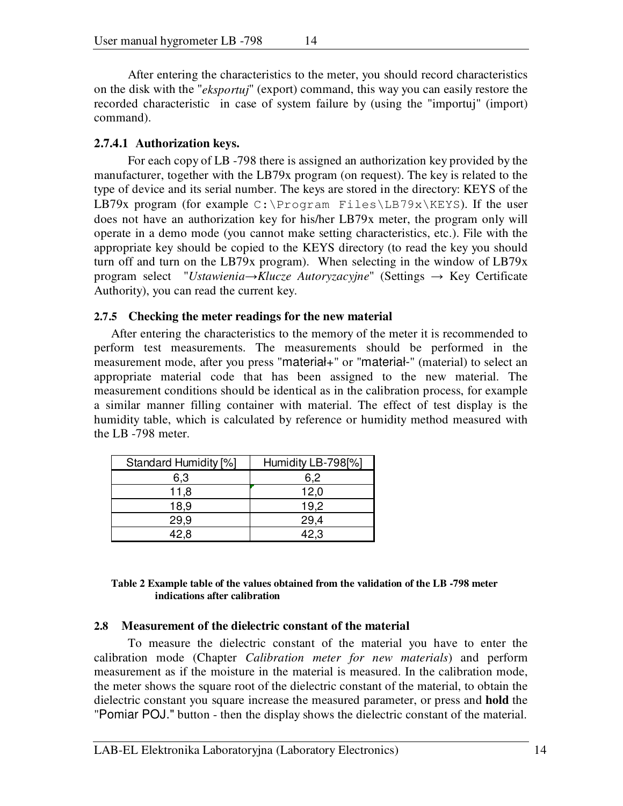After entering the characteristics to the meter, you should record characteristics on the disk with the "*eksportuj*" (export) command, this way you can easily restore the recorded characteristic in case of system failure by (using the "importuj" (import) command).

### **2.7.4.1 Authorization keys.**

For each copy of LB -798 there is assigned an authorization key provided by the manufacturer, together with the LB79x program (on request). The key is related to the type of device and its serial number. The keys are stored in the directory: KEYS of the LB79x program (for example  $C:\Per{\text{F}}$  Files\LB79x\KEYS). If the user does not have an authorization key for his/her LB79x meter, the program only will operate in a demo mode (you cannot make setting characteristics, etc.). File with the appropriate key should be copied to the KEYS directory (to read the key you should turn off and turn on the LB79x program). When selecting in the window of LB79x program select "*Ustawienia→Klucze Autoryzacyjne*" (Settings → Key Certificate Authority), you can read the current key.

### **2.7.5 Checking the meter readings for the new material**

After entering the characteristics to the memory of the meter it is recommended to perform test measurements. The measurements should be performed in the measurement mode, after you press "materiał+" or "materiał-" (material) to select an appropriate material code that has been assigned to the new material. The measurement conditions should be identical as in the calibration process, for example a similar manner filling container with material. The effect of test display is the humidity table, which is calculated by reference or humidity method measured with the LB -798 meter.

| Standard Humidity [%] | Humidity LB-798[%] |
|-----------------------|--------------------|
| 6,3                   | 6,2                |
| 11,8                  | 12,0               |
| 18,9                  | 19.2               |
| 29,9                  | 29,4               |
| 12 R                  | 42.3               |

#### **Table 2 Example table of the values obtained from the validation of the LB -798 meter indications after calibration**

### **2.8 Measurement of the dielectric constant of the material**

To measure the dielectric constant of the material you have to enter the calibration mode (Chapter *Calibration meter for new materials*) and perform measurement as if the moisture in the material is measured. In the calibration mode, the meter shows the square root of the dielectric constant of the material, to obtain the dielectric constant you square increase the measured parameter, or press and **hold** the "Pomiar POJ." button - then the display shows the dielectric constant of the material.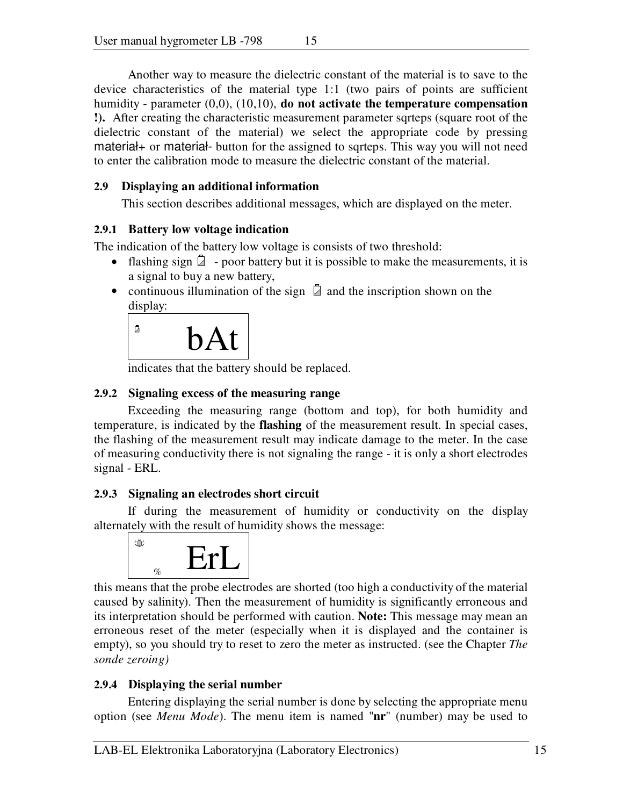Another way to measure the dielectric constant of the material is to save to the device characteristics of the material type 1:1 (two pairs of points are sufficient humidity - parameter (0,0), (10,10), **do not activate the temperature compensation !).** After creating the characteristic measurement parameter sqrteps (square root of the dielectric constant of the material) we select the appropriate code by pressing materiał+ or materiał- button for the assigned to sqrteps. This way you will not need to enter the calibration mode to measure the dielectric constant of the material.

### **2.9 Displaying an additional information**

This section describes additional messages, which are displayed on the meter.

### **2.9.1 Battery low voltage indication**

The indication of the battery low voltage is consists of two threshold:

- flashing sign  $\Box$  poor battery but it is possible to make the measurements, it is a signal to buy a new battery,
- continuous illumination of the sign  $\Box$  and the inscription shown on the display:

$$
\overset{\circ}{\phantom{a}}\phantom{ab}\phantom{ab}\text{bAt}
$$

indicates that the battery should be replaced.

### **2.9.2 Signaling excess of the measuring range**

Exceeding the measuring range (bottom and top), for both humidity and temperature, is indicated by the **flashing** of the measurement result. In special cases, the flashing of the measurement result may indicate damage to the meter. In the case of measuring conductivity there is not signaling the range - it is only a short electrodes signal - ERL.

### **2.9.3 Signaling an electrodes short circuit**

If during the measurement of humidity or conductivity on the display alternately with the result of humidity shows the message:



this means that the probe electrodes are shorted (too high a conductivity of the material caused by salinity). Then the measurement of humidity is significantly erroneous and its interpretation should be performed with caution. **Note:** This message may mean an erroneous reset of the meter (especially when it is displayed and the container is empty), so you should try to reset to zero the meter as instructed. (see the Chapter *The sonde zeroing)*

### **2.9.4 Displaying the serial number**

Entering displaying the serial number is done by selecting the appropriate menu option (see *Menu Mode*). The menu item is named "**nr**" (number) may be used to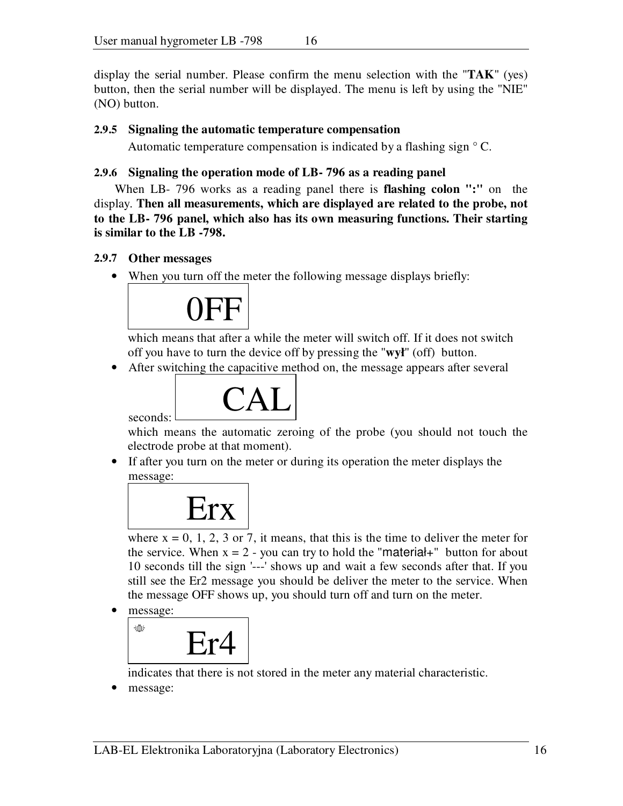display the serial number. Please confirm the menu selection with the "**TAK**" (yes) button, then the serial number will be displayed. The menu is left by using the "NIE" (NO) button.

### **2.9.5 Signaling the automatic temperature compensation**

Automatic temperature compensation is indicated by a flashing sign  $\degree$  C.

### **2.9.6 Signaling the operation mode of LB- 796 as a reading panel**

When LB- 796 works as a reading panel there is **flashing colon ":"** on the display. **Then all measurements, which are displayed are related to the probe, not to the LB- 796 panel, which also has its own measuring functions. Their starting is similar to the LB -798.** 

**2.9.7 Other messages** 

seconds:

• When you turn off the meter the following message displays briefly:



which means that after a while the meter will switch off. If it does not switch off you have to turn the device off by pressing the "**wył**" (off) button.

• After switching the capacitive method on, the message appears after several



which means the automatic zeroing of the probe (you should not touch the electrode probe at that moment).

• If after you turn on the meter or during its operation the meter displays the message:



where  $x = 0, 1, 2, 3$  or 7, it means, that this is the time to deliver the meter for the service. When  $x = 2$  - you can try to hold the "material+" button for about 10 seconds till the sign '---' shows up and wait a few seconds after that. If you still see the Er2 message you should be deliver the meter to the service. When the message OFF shows up, you should turn off and turn on the meter.

message:



indicates that there is not stored in the meter any material characteristic.

• message: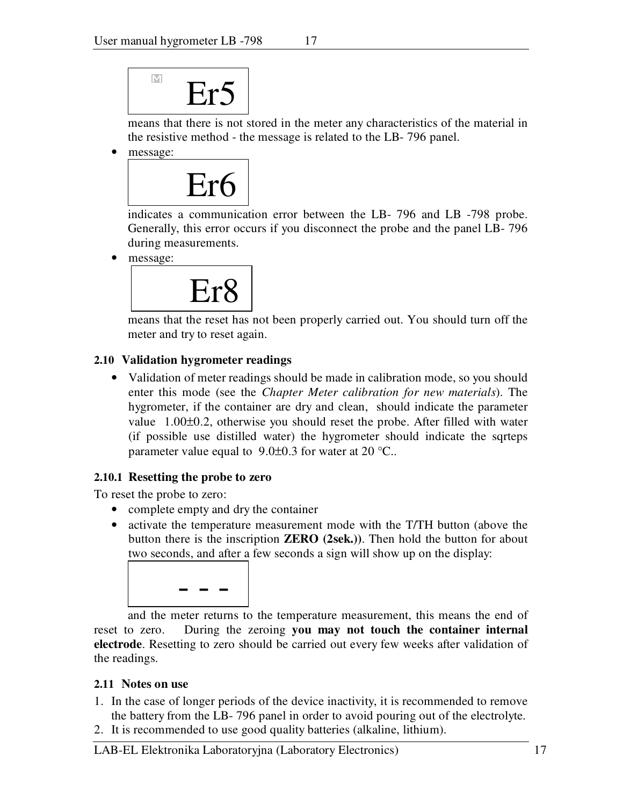

means that there is not stored in the meter any characteristics of the material in the resistive method - the message is related to the LB- 796 panel.

• message:



indicates a communication error between the LB- 796 and LB -798 probe. Generally, this error occurs if you disconnect the probe and the panel LB- 796 during measurements.

• message:



means that the reset has not been properly carried out. You should turn off the meter and try to reset again.

### **2.10 Validation hygrometer readings**

• Validation of meter readings should be made in calibration mode, so you should enter this mode (see the *Chapter Meter calibration for new materials*). The hygrometer, if the container are dry and clean, should indicate the parameter value 1.00±0.2, otherwise you should reset the probe. After filled with water (if possible use distilled water) the hygrometer should indicate the sqrteps parameter value equal to  $9.0\pm0.3$  for water at 20 °C..

### **2.10.1 Resetting the probe to zero**

To reset the probe to zero:

- complete empty and dry the container
- activate the temperature measurement mode with the T/TH button (above the button there is the inscription **ZERO (2sek.))**. Then hold the button for about two seconds, and after a few seconds a sign will show up on the display:

$$
\mathcal{L}^{\mathcal{L}}\mathcal{L}^{\mathcal{L}}\mathcal{L}^{\mathcal{L}}\mathcal{L}^{\mathcal{L}}
$$

 and the meter returns to the temperature measurement, this means the end of reset to zero. During the zeroing **you may not touch the container internal electrode**. Resetting to zero should be carried out every few weeks after validation of the readings.

### **2.11 Notes on use**

- 1. In the case of longer periods of the device inactivity, it is recommended to remove the battery from the LB- 796 panel in order to avoid pouring out of the electrolyte.
- 2. It is recommended to use good quality batteries (alkaline, lithium).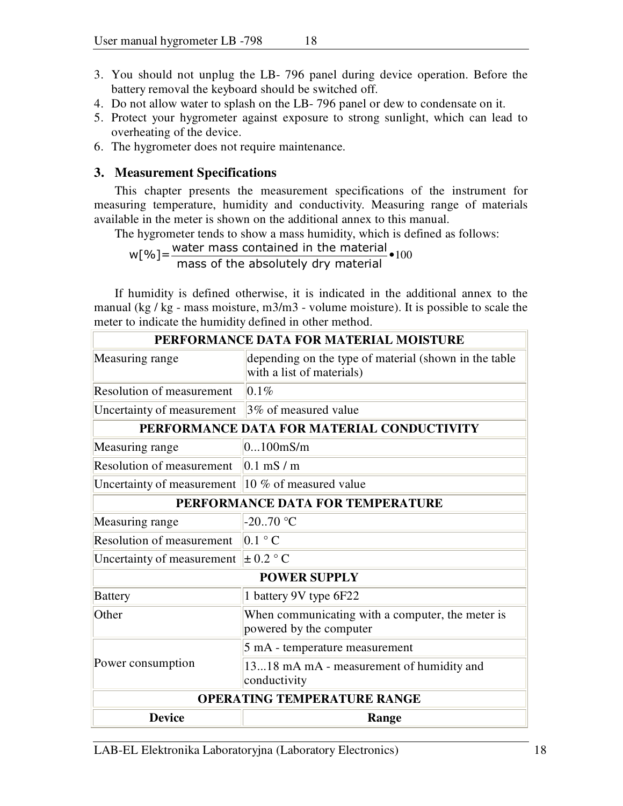- 3. You should not unplug the LB- 796 panel during device operation. Before the battery removal the keyboard should be switched off.
- 4. Do not allow water to splash on the LB- 796 panel or dew to condensate on it.
- 5. Protect your hygrometer against exposure to strong sunlight, which can lead to overheating of the device.
- 6. The hygrometer does not require maintenance.

### **3. Measurement Specifications**

This chapter presents the measurement specifications of the instrument for measuring temperature, humidity and conductivity. Measuring range of materials available in the meter is shown on the additional annex to this manual.

The hygrometer tends to show a mass humidity, which is defined as follows:

 $w[%]=\frac{water \text{ mass contained in the material}}{100}$ 

mass of the absolutely dry material

If humidity is defined otherwise, it is indicated in the additional annex to the manual (kg / kg - mass moisture, m3/m3 - volume moisture). It is possible to scale the meter to indicate the humidity defined in other method.

| PERFORMANCE DATA FOR MATERIAL MOISTURE                        |                                                                                    |  |  |  |  |  |
|---------------------------------------------------------------|------------------------------------------------------------------------------------|--|--|--|--|--|
| Measuring range                                               | depending on the type of material (shown in the table<br>with a list of materials) |  |  |  |  |  |
| Resolution of measurement                                     | 0.1%                                                                               |  |  |  |  |  |
| Uncertainty of measurement $\frac{1}{3}\%$ of measured value  |                                                                                    |  |  |  |  |  |
| PERFORMANCE DATA FOR MATERIAL CONDUCTIVITY                    |                                                                                    |  |  |  |  |  |
| Measuring range                                               | $0100$ mS/m                                                                        |  |  |  |  |  |
| Resolution of measurement                                     | $0.1$ mS / m                                                                       |  |  |  |  |  |
| Uncertainty of measurement $\parallel$ 10 % of measured value |                                                                                    |  |  |  |  |  |
| PERFORMANCE DATA FOR TEMPERATURE                              |                                                                                    |  |  |  |  |  |
| Measuring range                                               | $-20.70$ °C                                                                        |  |  |  |  |  |
| <b>Resolution of measurement</b>                              | $0.1 \degree C$                                                                    |  |  |  |  |  |
| Uncertainty of measurement                                    | $\pm$ 0.2 $\degree$ C                                                              |  |  |  |  |  |
|                                                               | <b>POWER SUPPLY</b>                                                                |  |  |  |  |  |
| <b>Battery</b>                                                | 1 battery 9V type 6F22                                                             |  |  |  |  |  |
| Other                                                         | When communicating with a computer, the meter is<br>powered by the computer        |  |  |  |  |  |
|                                                               | 5 mA - temperature measurement                                                     |  |  |  |  |  |
| Power consumption                                             | 1318 mA mA - measurement of humidity and<br>conductivity                           |  |  |  |  |  |
|                                                               | <b>OPERATING TEMPERATURE RANGE</b>                                                 |  |  |  |  |  |
| <b>Device</b>                                                 | Range                                                                              |  |  |  |  |  |